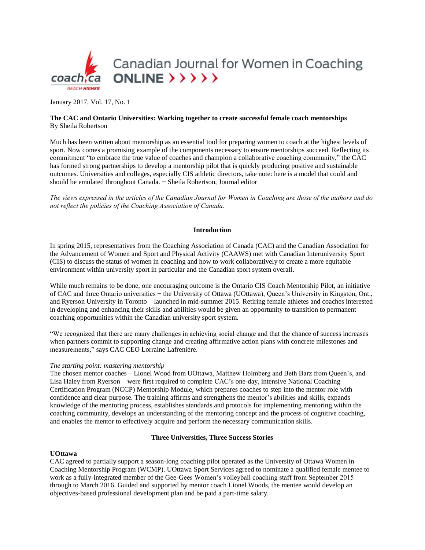

January 2017, Vol. 17, No. 1

# **The CAC and Ontario Universities: Working together to create successful female coach mentorships** By Sheila Robertson

Much has been written about mentorship as an essential tool for preparing women to coach at the highest levels of sport. Now comes a promising example of the components necessary to ensure mentorships succeed. Reflecting its commitment "to embrace the true value of coaches and champion a collaborative coaching community," the CAC has formed strong partnerships to develop a mentorship pilot that is quickly producing positive and sustainable outcomes. Universities and colleges, especially CIS athletic directors, take note: here is a model that could and should be emulated throughout Canada. − Sheila Robertson, Journal editor

*The views expressed in the articles of the Canadian Journal for Women in Coaching are those of the authors and do not reflect the policies of the Coaching Association of Canada.*

## **Introduction**

In spring 2015, representatives from the Coaching Association of Canada (CAC) and the Canadian Association for the Advancement of Women and Sport and Physical Activity (CAAWS) met with Canadian Interuniversity Sport (CIS) to discuss the status of women in coaching and how to work collaboratively to create a more equitable environment within university sport in particular and the Canadian sport system overall.

While much remains to be done, one encouraging outcome is the Ontario CIS Coach Mentorship Pilot, an initiative of CAC and three Ontario universities − the University of Ottawa (UOttawa), Queen's University in Kingston, Ont., and Ryerson University in Toronto – launched in mid-summer 2015. Retiring female athletes and coaches interested in developing and enhancing their skills and abilities would be given an opportunity to transition to permanent coaching opportunities within the Canadian university sport system.

"We recognized that there are many challenges in achieving social change and that the chance of success increases when partners commit to supporting change and creating affirmative action plans with concrete milestones and measurements," says CAC CEO Lorraine Lafrenière.

#### *The starting point: mastering mentorship*

The chosen mentor coaches – Lionel Wood from UOttawa, Matthew Holmberg and Beth Barz from Queen's, and Lisa Haley from Ryerson – were first required to complete CAC's one-day, intensive National Coaching Certification Program (NCCP) Mentorship Module, which prepares coaches to step into the mentor role with confidence and clear purpose. The training affirms and strengthens the mentor's abilities and skills, expands knowledge of the mentoring process, establishes standards and protocols for implementing mentoring within the coaching community, develops an understanding of the mentoring concept and the process of cognitive coaching, and enables the mentor to effectively acquire and perform the necessary communication skills.

### **Three Universities, Three Success Stories**

### **UOttawa**

CAC agreed to partially support a season-long coaching pilot operated as the University of Ottawa Women in Coaching Mentorship Program (WCMP). UOttawa Sport Services agreed to nominate a qualified female mentee to work as a fully-integrated member of the Gee-Gees Women's volleyball coaching staff from September 2015 through to March 2016. Guided and supported by mentor coach Lionel Woods, the mentee would develop an objectives-based professional development plan and be paid a part-time salary.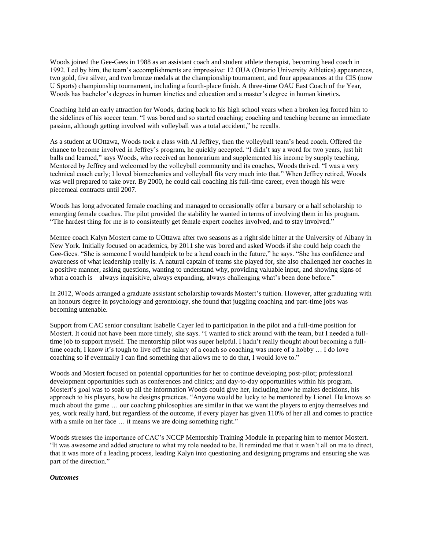Woods joined the Gee-Gees in 1988 as an assistant coach and student athlete therapist, becoming head coach in 1992. Led by him, the team's accomplishments are impressive: 12 OUA (Ontario University Athletics) appearances, two gold, five silver, and two bronze medals at the championship tournament, and four appearances at the CIS (now U Sports) championship tournament, including a fourth-place finish. A three-time OAU East Coach of the Year, Woods has bachelor's degrees in human kinetics and education and a master's degree in human kinetics.

Coaching held an early attraction for Woods, dating back to his high school years when a broken leg forced him to the sidelines of his soccer team. "I was bored and so started coaching; coaching and teaching became an immediate passion, although getting involved with volleyball was a total accident," he recalls.

As a student at UOttawa, Woods took a class with Al Jeffrey, then the volleyball team's head coach. Offered the chance to become involved in Jeffrey's program, he quickly accepted. "I didn't say a word for two years, just hit balls and learned," says Woods, who received an honorarium and supplemented his income by supply teaching. Mentored by Jeffrey and welcomed by the volleyball community and its coaches, Woods thrived. "I was a very technical coach early; I loved biomechanics and volleyball fits very much into that." When Jeffrey retired, Woods was well prepared to take over. By 2000, he could call coaching his full-time career, even though his were piecemeal contracts until 2007.

Woods has long advocated female coaching and managed to occasionally offer a bursary or a half scholarship to emerging female coaches. The pilot provided the stability he wanted in terms of involving them in his program. "The hardest thing for me is to consistently get female expert coaches involved, and to stay involved."

Mentee coach Kalyn Mostert came to UOttawa after two seasons as a right side hitter at the University of Albany in New York. Initially focused on academics, by 2011 she was bored and asked Woods if she could help coach the Gee-Gees. "She is someone I would handpick to be a head coach in the future," he says. "She has confidence and awareness of what leadership really is. A natural captain of teams she played for, she also challenged her coaches in a positive manner, asking questions, wanting to understand why, providing valuable input, and showing signs of what a coach is – always inquisitive, always expanding, always challenging what's been done before."

In 2012, Woods arranged a graduate assistant scholarship towards Mostert's tuition. However, after graduating with an honours degree in psychology and gerontology, she found that juggling coaching and part-time jobs was becoming untenable.

Support from CAC senior consultant Isabelle Cayer led to participation in the pilot and a full-time position for Mostert. It could not have been more timely, she says. "I wanted to stick around with the team, but I needed a fulltime job to support myself. The mentorship pilot was super helpful. I hadn't really thought about becoming a fulltime coach; I know it's tough to live off the salary of a coach so coaching was more of a hobby … I do love coaching so if eventually I can find something that allows me to do that, I would love to."

Woods and Mostert focused on potential opportunities for her to continue developing post-pilot; professional development opportunities such as conferences and clinics; and day-to-day opportunities within his program. Mostert's goal was to soak up all the information Woods could give her, including how he makes decisions, his approach to his players, how he designs practices. "Anyone would be lucky to be mentored by Lionel. He knows so much about the game … our coaching philosophies are similar in that we want the players to enjoy themselves and yes, work really hard, but regardless of the outcome, if every player has given 110% of her all and comes to practice with a smile on her face ... it means we are doing something right."

Woods stresses the importance of CAC's NCCP Mentorship Training Module in preparing him to mentor Mostert. "It was awesome and added structure to what my role needed to be. It reminded me that it wasn't all on me to direct, that it was more of a leading process, leading Kalyn into questioning and designing programs and ensuring she was part of the direction."

### *Outcomes*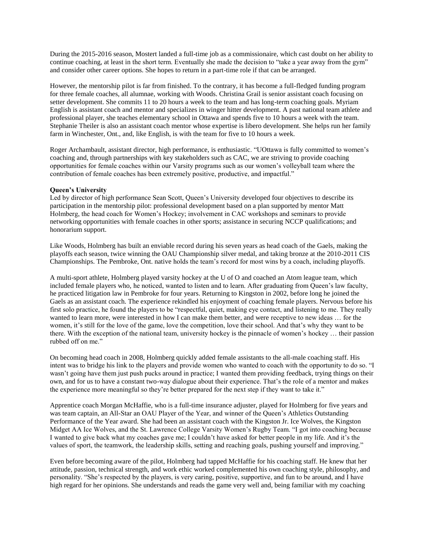During the 2015-2016 season, Mostert landed a full-time job as a commissionaire, which cast doubt on her ability to continue coaching, at least in the short term. Eventually she made the decision to "take a year away from the gym" and consider other career options. She hopes to return in a part-time role if that can be arranged.

However, the mentorship pilot is far from finished. To the contrary, it has become a full-fledged funding program for three female coaches, all alumnae, working with Woods. Christina Grail is senior assistant coach focusing on setter development. She commits 11 to 20 hours a week to the team and has long-term coaching goals. Myriam English is assistant coach and mentor and specializes in winger hitter development. A past national team athlete and professional player, she teaches elementary school in Ottawa and spends five to 10 hours a week with the team. Stephanie Theiler is also an assistant coach mentor whose expertise is libero development. She helps run her family farm in Winchester, Ont., and, like English, is with the team for five to 10 hours a week.

Roger Archambault, assistant director, high performance, is enthusiastic. "UOttawa is fully committed to women's coaching and, through partnerships with key stakeholders such as CAC, we are striving to provide coaching opportunities for female coaches within our Varsity programs such as our women's volleyball team where the contribution of female coaches has been extremely positive, productive, and impactful."

### **Queen's University**

Led by director of high performance Sean Scott, Queen's University developed four objectives to describe its participation in the mentorship pilot: professional development based on a plan supported by mentor Matt Holmberg, the head coach for Women's Hockey; involvement in CAC workshops and seminars to provide networking opportunities with female coaches in other sports; assistance in securing NCCP qualifications; and honorarium support.

Like Woods, Holmberg has built an enviable record during his seven years as head coach of the Gaels, making the playoffs each season, twice winning the OAU Championship silver medal, and taking bronze at the 2010-2011 CIS Championships. The Pembroke, Ont. native holds the team's record for most wins by a coach, including playoffs.

A multi-sport athlete, Holmberg played varsity hockey at the U of O and coached an Atom league team, which included female players who, he noticed, wanted to listen and to learn. After graduating from Queen's law faculty, he practiced litigation law in Pembroke for four years. Returning to Kingston in 2002, before long he joined the Gaels as an assistant coach. The experience rekindled his enjoyment of coaching female players. Nervous before his first solo practice, he found the players to be "respectful, quiet, making eye contact, and listening to me. They really wanted to learn more, were interested in how I can make them better, and were receptive to new ideas … for the women, it's still for the love of the game, love the competition, love their school. And that's why they want to be there. With the exception of the national team, university hockey is the pinnacle of women's hockey … their passion rubbed off on me."

On becoming head coach in 2008, Holmberg quickly added female assistants to the all-male coaching staff. His intent was to bridge his link to the players and provide women who wanted to coach with the opportunity to do so. "I wasn't going have them just push pucks around in practice; I wanted them providing feedback, trying things on their own, and for us to have a constant two-way dialogue about their experience. That's the role of a mentor and makes the experience more meaningful so they're better prepared for the next step if they want to take it."

Apprentice coach Morgan McHaffie, who is a full-time insurance adjuster, played for Holmberg for five years and was team captain, an All-Star an OAU Player of the Year, and winner of the Queen's Athletics Outstanding Performance of the Year award. She had been an assistant coach with the Kingston Jr. Ice Wolves, the Kingston Midget AA Ice Wolves, and the St. Lawrence College Varsity Women's Rugby Team. "I got into coaching because I wanted to give back what my coaches gave me; I couldn't have asked for better people in my life. And it's the values of sport, the teamwork, the leadership skills, setting and reaching goals, pushing yourself and improving."

Even before becoming aware of the pilot, Holmberg had tapped McHaffie for his coaching staff. He knew that her attitude, passion, technical strength, and work ethic worked complemented his own coaching style, philosophy, and personality. "She's respected by the players, is very caring, positive, supportive, and fun to be around, and I have high regard for her opinions. She understands and reads the game very well and, being familiar with my coaching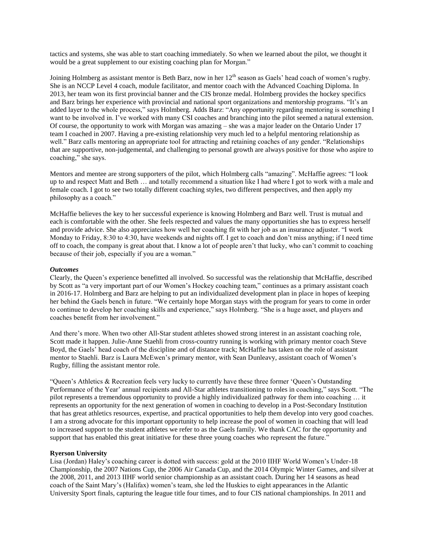tactics and systems, she was able to start coaching immediately. So when we learned about the pilot, we thought it would be a great supplement to our existing coaching plan for Morgan."

Joining Holmberg as assistant mentor is Beth Barz, now in her 12<sup>th</sup> season as Gaels' head coach of women's rugby. She is an NCCP Level 4 coach, module facilitator, and mentor coach with the Advanced Coaching Diploma. In 2013, her team won its first provincial banner and the CIS bronze medal. Holmberg provides the hockey specifics and Barz brings her experience with provincial and national sport organizations and mentorship programs. "It's an added layer to the whole process," says Holmberg. Adds Barz: "Any opportunity regarding mentoring is something I want to be involved in. I've worked with many CSI coaches and branching into the pilot seemed a natural extension. Of course, the opportunity to work with Morgan was amazing – she was a major leader on the Ontario Under 17 team I coached in 2007. Having a pre-existing relationship very much led to a helpful mentoring relationship as well." Barz calls mentoring an appropriate tool for attracting and retaining coaches of any gender. "Relationships that are supportive, non-judgemental, and challenging to personal growth are always positive for those who aspire to coaching," she says.

Mentors and mentee are strong supporters of the pilot, which Holmberg calls "amazing". McHaffie agrees: "I look up to and respect Matt and Beth … and totally recommend a situation like I had where I got to work with a male and female coach. I got to see two totally different coaching styles, two different perspectives, and then apply my philosophy as a coach."

McHaffie believes the key to her successful experience is knowing Holmberg and Barz well. Trust is mutual and each is comfortable with the other. She feels respected and values the many opportunities she has to express herself and provide advice. She also appreciates how well her coaching fit with her job as an insurance adjuster. "I work Monday to Friday, 8:30 to 4:30, have weekends and nights off. I get to coach and don't miss anything; if I need time off to coach, the company is great about that. I know a lot of people aren't that lucky, who can't commit to coaching because of their job, especially if you are a woman."

### *Outcomes*

Clearly, the Queen's experience benefitted all involved. So successful was the relationship that McHaffie, described by Scott as "a very important part of our Women's Hockey coaching team," continues as a primary assistant coach in 2016-17. Holmberg and Barz are helping to put an individualized development plan in place in hopes of keeping her behind the Gaels bench in future. "We certainly hope Morgan stays with the program for years to come in order to continue to develop her coaching skills and experience," says Holmberg. "She is a huge asset, and players and coaches benefit from her involvement."

And there's more. When two other All-Star student athletes showed strong interest in an assistant coaching role, Scott made it happen. Julie-Anne Staehli from cross-country running is working with primary mentor coach Steve Boyd, the Gaels' head coach of the discipline and of distance track; McHaffie has taken on the role of assistant mentor to Staehli. Barz is Laura McEwen's primary mentor, with Sean Dunleavy, assistant coach of Women's Rugby, filling the assistant mentor role.

"Queen's Athletics & Recreation feels very lucky to currently have these three former 'Queen's Outstanding Performance of the Year' annual recipients and All-Star athletes transitioning to roles in coaching," says Scott. "The pilot represents a tremendous opportunity to provide a highly individualized pathway for them into coaching … it represents an opportunity for the next generation of women in coaching to develop in a Post-Secondary Institution that has great athletics resources, expertise, and practical opportunities to help them develop into very good coaches. I am a strong advocate for this important opportunity to help increase the pool of women in coaching that will lead to increased support to the student athletes we refer to as the Gaels family. We thank CAC for the opportunity and support that has enabled this great initiative for these three young coaches who represent the future."

### **Ryerson University**

Lisa (Jordan) Haley's coaching career is dotted with success: gold at the 2010 IIHF World Women's Under-18 Championship, the 2007 Nations Cup, the 2006 Air Canada Cup, and the 2014 Olympic Winter Games, and silver at the 2008, 2011, and 2013 IIHF world senior championship as an assistant coach. During her 14 seasons as head coach of the Saint Mary's (Halifax) women's team, she led the Huskies to eight appearances in the Atlantic University Sport finals, capturing the league title four times, and to four CIS national championships. In 2011 and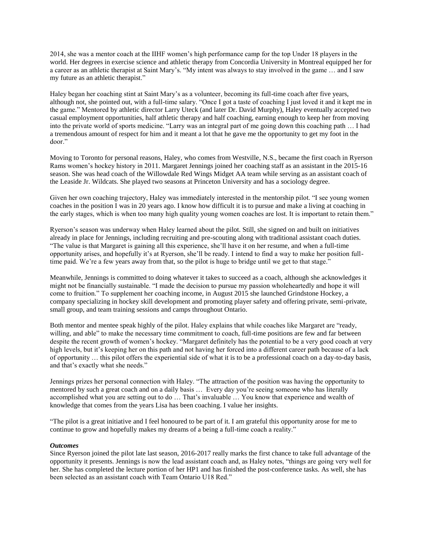2014, she was a mentor coach at the IIHF women's high performance camp for the top Under 18 players in the world. Her degrees in exercise science and athletic therapy from Concordia University in Montreal equipped her for a career as an athletic therapist at Saint Mary's. "My intent was always to stay involved in the game … and I saw my future as an athletic therapist."

Haley began her coaching stint at Saint Mary's as a volunteer, becoming its full-time coach after five years, although not, she pointed out, with a full-time salary. "Once I got a taste of coaching I just loved it and it kept me in the game." Mentored by athletic director Larry Uteck (and later Dr. David Murphy), Haley eventually accepted two casual employment opportunities, half athletic therapy and half coaching, earning enough to keep her from moving into the private world of sports medicine. "Larry was an integral part of me going down this coaching path … I had a tremendous amount of respect for him and it meant a lot that he gave me the opportunity to get my foot in the door."

Moving to Toronto for personal reasons, Haley, who comes from Westville, N.S., became the first coach in Ryerson Rams women's hockey history in 2011. Margaret Jennings joined her coaching staff as an assistant in the 2015-16 season. She was head coach of the Willowdale Red Wings Midget AA team while serving as an assistant coach of the Leaside Jr. Wildcats. She played two seasons at Princeton University and has a sociology degree.

Given her own coaching trajectory, Haley was immediately interested in the mentorship pilot. "I see young women coaches in the position I was in 20 years ago. I know how difficult it is to pursue and make a living at coaching in the early stages, which is when too many high quality young women coaches are lost. It is important to retain them."

Ryerson's season was underway when Haley learned about the pilot. Still, she signed on and built on initiatives already in place for Jennings, including recruiting and pre-scouting along with traditional assistant coach duties. "The value is that Margaret is gaining all this experience, she'll have it on her resume, and when a full-time opportunity arises, and hopefully it's at Ryerson, she'll be ready. I intend to find a way to make her position fulltime paid. We're a few years away from that, so the pilot is huge to bridge until we get to that stage."

Meanwhile, Jennings is committed to doing whatever it takes to succeed as a coach, although she acknowledges it might not be financially sustainable. "I made the decision to pursue my passion wholeheartedly and hope it will come to fruition." To supplement her coaching income, in August 2015 she launched Grindstone Hockey, a company specializing in hockey skill development and promoting player safety and offering private, semi-private, small group, and team training sessions and camps throughout Ontario.

Both mentor and mentee speak highly of the pilot. Haley explains that while coaches like Margaret are "ready, willing, and able" to make the necessary time commitment to coach, full-time positions are few and far between despite the recent growth of women's hockey. "Margaret definitely has the potential to be a very good coach at very high levels, but it's keeping her on this path and not having her forced into a different career path because of a lack of opportunity … this pilot offers the experiential side of what it is to be a professional coach on a day-to-day basis, and that's exactly what she needs."

Jennings prizes her personal connection with Haley. "The attraction of the position was having the opportunity to mentored by such a great coach and on a daily basis … Every day you're seeing someone who has literally accomplished what you are setting out to do … That's invaluable … You know that experience and wealth of knowledge that comes from the years Lisa has been coaching. I value her insights.

"The pilot is a great initiative and I feel honoured to be part of it. I am grateful this opportunity arose for me to continue to grow and hopefully makes my dreams of a being a full-time coach a reality."

### *Outcomes*

Since Ryerson joined the pilot late last season, 2016-2017 really marks the first chance to take full advantage of the opportunity it presents. Jennings is now the lead assistant coach and, as Haley notes, "things are going very well for her. She has completed the lecture portion of her HP1 and has finished the post-conference tasks. As well, she has been selected as an assistant coach with Team Ontario U18 Red."